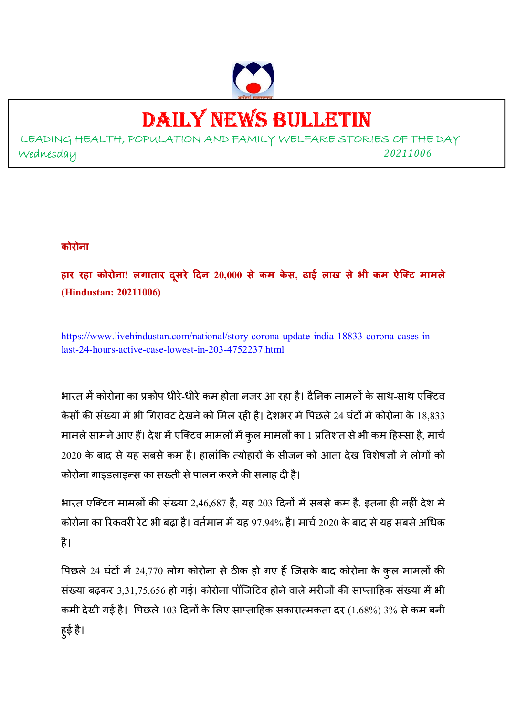

# DAILY NEWS BULLETIN

LEADING HEALTH, POPULATION AND FAMILY WELFARE STORIES OF THE DAY Wednesday *<sup>20211006</sup>*

#### **कोरोना**

**हार रहा कोरोना! लगातार दसरे ू दन 20,000 से कम के स, ढाई लाख से भी कम ऐिट मामले (Hindustan: 20211006)** 

https://www.livehindustan.com/national/story-corona-update-india-18833-corona-cases-inlast-24-hours-active-case-lowest-in-203-4752237.html

भारत में कोरोना का प्रकोप धीरे-धीरे कम होता नजर आ रहा है। दैनिक मामलों के साथ-साथ एक्टिव केसों की संख्या में भी गिरावट देखने को मिल रही है। देशभर में पिछले 24 घंटों में कोरोना के 18,833 मामले सामने आए हैं। देश में एक्टिव मामलों में कुल मामलों का 1 प्रतिशत से भी कम हिस्सा है, मार्च  $2020$  के बाद से यह सबसे कम है। हालांकि त्योहारों के सीजन को आता देख विशेषज्ञों ने लोगों को कोरोना गाइडलाइन्स का सख्ती से पालन करने की सलाह दी है।

भारत एक्टिव मामलों की संख्या 2,46,687 है, यह 203 दिनों में सबसे कम है. इतना ही नहीं देश में कोरोना का रिकवरी रेट भी बढ़ा है। वर्तमान में यह 97.94% है। मार्च 2020 के बाद से यह सबसे अधिक है।

पिछले 24 घंटों में 24,770 लोग कोरोना से ठीक हो गए हैं जिसके बाद कोरोना के कुल मामलों की संख्या बढ़कर 3,31,75,656 हो गई। कोरोना पॉजिटिव होने वाले मरीजों की साप्ताहिक संख्या में भी कमी देखी गई है। पिछले 103 दिनों के लिए साप्ताहिक सकारात्मकता दर (1.68%) 3% से कम बनी हुई है।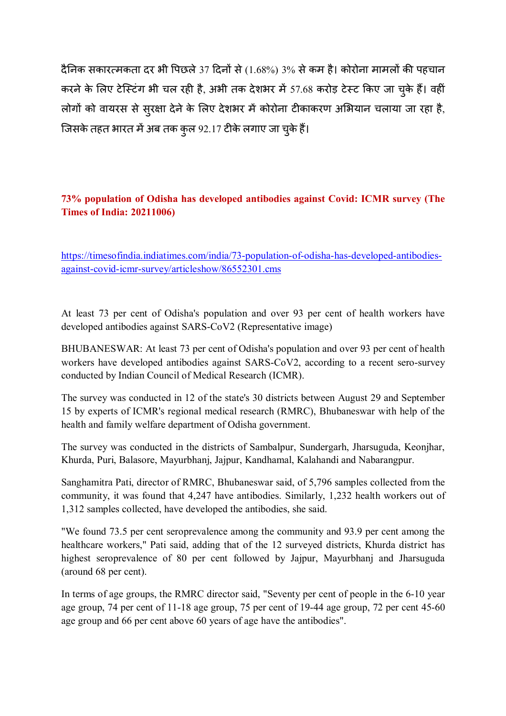दैनिक सकारत्मकता दर भी पिछले 37 दिनों से (1.68%) 3% से कम है। कोरोना मामलों की पहचान करने के लिए टेस्टिंग भी चल रही है, अभी तक देशभर में 57.68 करोड़ टेस्ट किए जा चके हैं। वहीं लोगों को वायरस से सुरक्षा देने के लिए देशभर में कोरोना टीकाकरण अभियान चलाया जा रहा है, जिसके तहत भारत में अब तक कुल 92.17 टीके लगाए जा चुके हैं।

#### **73% population of Odisha has developed antibodies against Covid: ICMR survey (The Times of India: 20211006)**

https://timesofindia.indiatimes.com/india/73-population-of-odisha-has-developed-antibodiesagainst-covid-icmr-survey/articleshow/86552301.cms

At least 73 per cent of Odisha's population and over 93 per cent of health workers have developed antibodies against SARS-CoV2 (Representative image)

BHUBANESWAR: At least 73 per cent of Odisha's population and over 93 per cent of health workers have developed antibodies against SARS-CoV2, according to a recent sero-survey conducted by Indian Council of Medical Research (ICMR).

The survey was conducted in 12 of the state's 30 districts between August 29 and September 15 by experts of ICMR's regional medical research (RMRC), Bhubaneswar with help of the health and family welfare department of Odisha government.

The survey was conducted in the districts of Sambalpur, Sundergarh, Jharsuguda, Keonjhar, Khurda, Puri, Balasore, Mayurbhanj, Jajpur, Kandhamal, Kalahandi and Nabarangpur.

Sanghamitra Pati, director of RMRC, Bhubaneswar said, of 5,796 samples collected from the community, it was found that 4,247 have antibodies. Similarly, 1,232 health workers out of 1,312 samples collected, have developed the antibodies, she said.

"We found 73.5 per cent seroprevalence among the community and 93.9 per cent among the healthcare workers," Pati said, adding that of the 12 surveyed districts, Khurda district has highest seroprevalence of 80 per cent followed by Jajpur, Mayurbhanj and Jharsuguda (around 68 per cent).

In terms of age groups, the RMRC director said, "Seventy per cent of people in the 6-10 year age group, 74 per cent of 11-18 age group, 75 per cent of 19-44 age group, 72 per cent 45-60 age group and 66 per cent above 60 years of age have the antibodies".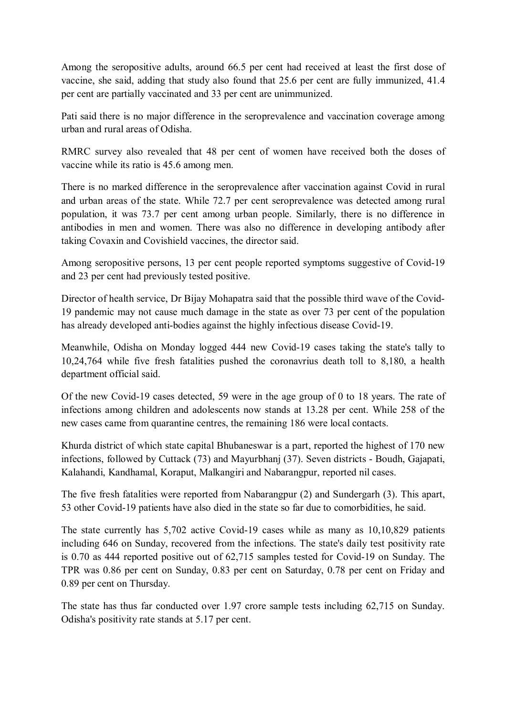Among the seropositive adults, around 66.5 per cent had received at least the first dose of vaccine, she said, adding that study also found that 25.6 per cent are fully immunized, 41.4 per cent are partially vaccinated and 33 per cent are unimmunized.

Pati said there is no major difference in the seroprevalence and vaccination coverage among urban and rural areas of Odisha.

RMRC survey also revealed that 48 per cent of women have received both the doses of vaccine while its ratio is 45.6 among men.

There is no marked difference in the seroprevalence after vaccination against Covid in rural and urban areas of the state. While 72.7 per cent seroprevalence was detected among rural population, it was 73.7 per cent among urban people. Similarly, there is no difference in antibodies in men and women. There was also no difference in developing antibody after taking Covaxin and Covishield vaccines, the director said.

Among seropositive persons, 13 per cent people reported symptoms suggestive of Covid-19 and 23 per cent had previously tested positive.

Director of health service, Dr Bijay Mohapatra said that the possible third wave of the Covid-19 pandemic may not cause much damage in the state as over 73 per cent of the population has already developed anti-bodies against the highly infectious disease Covid-19.

Meanwhile, Odisha on Monday logged 444 new Covid-19 cases taking the state's tally to 10,24,764 while five fresh fatalities pushed the coronavrius death toll to 8,180, a health department official said.

Of the new Covid-19 cases detected, 59 were in the age group of 0 to 18 years. The rate of infections among children and adolescents now stands at 13.28 per cent. While 258 of the new cases came from quarantine centres, the remaining 186 were local contacts.

Khurda district of which state capital Bhubaneswar is a part, reported the highest of 170 new infections, followed by Cuttack (73) and Mayurbhanj (37). Seven districts - Boudh, Gajapati, Kalahandi, Kandhamal, Koraput, Malkangiri and Nabarangpur, reported nil cases.

The five fresh fatalities were reported from Nabarangpur (2) and Sundergarh (3). This apart, 53 other Covid-19 patients have also died in the state so far due to comorbidities, he said.

The state currently has 5,702 active Covid-19 cases while as many as 10,10,829 patients including 646 on Sunday, recovered from the infections. The state's daily test positivity rate is 0.70 as 444 reported positive out of 62,715 samples tested for Covid-19 on Sunday. The TPR was 0.86 per cent on Sunday, 0.83 per cent on Saturday, 0.78 per cent on Friday and 0.89 per cent on Thursday.

The state has thus far conducted over 1.97 crore sample tests including 62,715 on Sunday. Odisha's positivity rate stands at 5.17 per cent.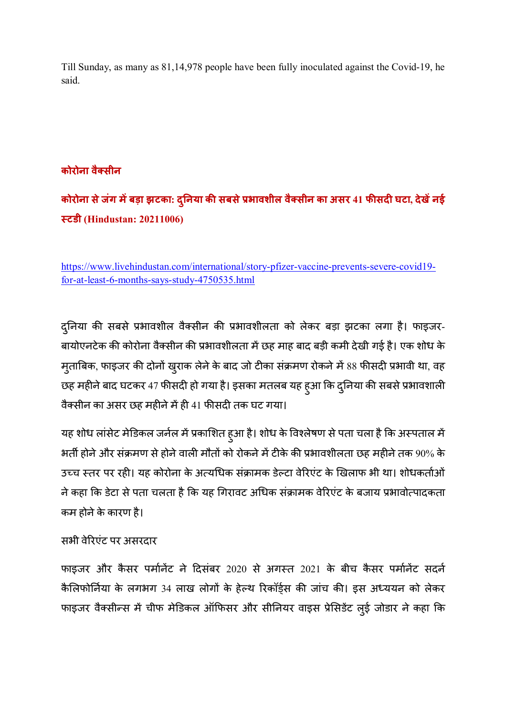Till Sunday, as many as 81,14,978 people have been fully inoculated against the Covid-19, he said.

## **कोरोना वैसीन**

**कोरोना सेजंग मबड़ा झटका: द#नया ु क% सबसे&भावशील वैसीन का असर 41 फ%सद\* घटा, देखनई ,टडी (Hindustan: 20211006)** 

https://www.livehindustan.com/international/story-pfizer-vaccine-prevents-severe-covid19 for-at-least-6-months-says-study-4750535.html

दुनिया की सबसे प्रभावशील वैक्सीन की प्रभावशीलता को लेकर बड़ा झटका लगा है। फाइजर-बायोएनटेक की कोरोना वैक्सीन की प्रभावशीलता में छह माह बाद बड़ी कमी देखी गई है। एक शोध के मुताबिक, फाइजर की दोनों खुराक लेने के बाद जो टीका संक्रमण रोकने में 88 फीसदी प्रभावी था, वह छह महीने बाद घटकर 47 फीसदी हो गया है। इसका मतलब यह हुआ कि दुनिया की सबसे प्रभावशाली वैक्सीन का असर छह महीने में ही 41 फीसदी तक घट गया।

यह शोध लांसेट मेडिकल जर्नल में प्रकाशित हुआ है। शोध के विश्लेषण से पता चला है कि अस्पताल में भर्ती होने और संक्रमण से होने वाली मौतों को रोकने में टीके की प्रभावशीलता छह महीने तक 90% के उच्च स्तर पर रही। यह कोरोना के अत्यधिक संक्रामक डेल्टा वेरिएंट के खिलाफ भी था। शोधकर्ताओं ने कहा कि डेटा से पता चलता है कि यह गिरावट अधिक संक्रामक वेरिएंट के बजाय प्रभावोत्पादकता कम होने के कारण है।

## सभी वेरिएंट पर असरदार

फाइजर और कैसर पर्मानेंट ने दिसंबर 2020 से अगस्त 2021 के बीच कैसर पर्मानेंट सदर्न कैलिफोर्निया के लगभग 34 लाख लोगों के हेल्थ रिकॉर्ड्स की जांच की। इस अध्ययन को लेकर फाइजर वैक्सीन्स में चीफ मेडिकल ऑफिसर और सीनियर वाइस प्रेसिडेंट लुई जोडार ने कहा कि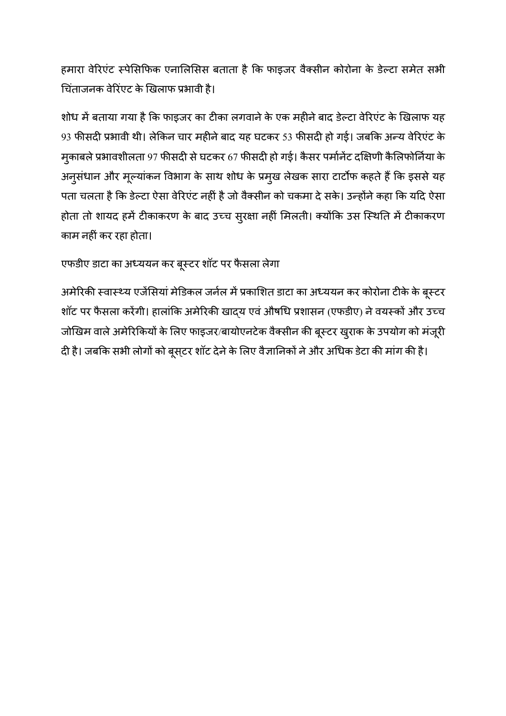हमारा वेरिएंट स्पेसिफिक एनालिसिस बताता है कि फाइजर वैक्सीन कोरोना के डेल्टा समेत सभी चिंताजनक वेरिंएट के खिलाफ प्रभावी है।

शोध में बताया गया है कि फाइजर का टीका लगवाने के एक महीने बाद डेल्टा वेरिएंट के खिलाफ यह 93 फीसदी प्रभावी थी। लेकिन चार महीने बाद यह घटकर 53 फीसदी हो गई। जबकि अन्य वेरिएंट के मुकाबले प्रभावशीलता 97 फीसदी से घटकर 67 फीसदी हो गई। कैसर पर्मानेंट दक्षिणी कैलिफोर्निया के अनुसंधान और मूल्यांकन विभाग के साथ शोध के प्रमुख लेखक सारा टार्टोफ कहते हैं कि इससे यह पता चलता है कि डेल्टा ऐसा वेरिएंट नहीं है जो वैक्सीन को चकमा दे सके। उन्होंने कहा कि यदि ऐसा होता तो शायद हमें टीकाकरण के बाद उच्च सुरक्षा नहीं मिलती। क्योंकि उस स्थिति में टीकाकरण काम नहीं कर रहा होता।

एफडीए डाटा का अध्ययन कर बूस्टर शॉट पर फैसला लेगा

अमेरिकी स्वास्थ्य एजेंसियां मेडिकल जर्नल में प्रकाशित डाटा का अध्ययन कर कोरोना टीके के बूस्टर शॉट पर फैसला करेंगी। हालांकि अमेरिकी खादय एवं औषधि प्रशासन (एफडीए) ने वयस्कों और उच्च जोखिम वाले अमेरिकियों के लिए फाइजर/बायोएनटेक वैक्सीन की बूस्टर खुराक के उपयोग को मंजूरी दी है। जबकि सभी लोगों को बूस्टर शॉट देने के लिए वैज्ञानिकों ने और अधिक डेटा की मांग की है।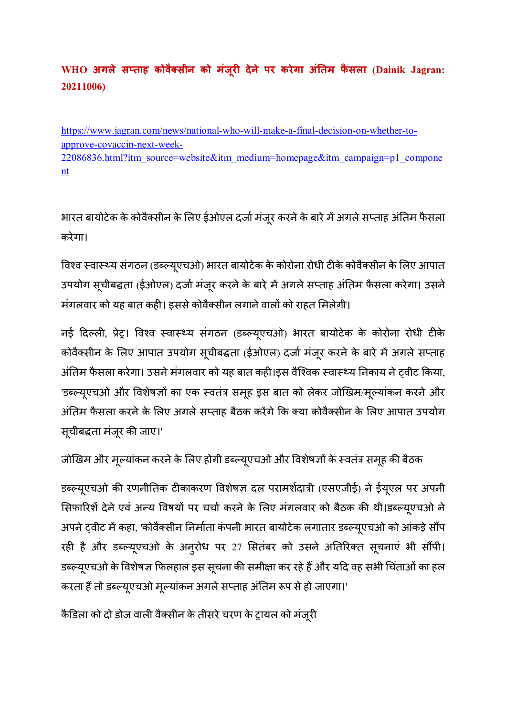# $WHO$  अगले सप्ताह कोवैक्सीन को मंजूरी देने पर करेगा अंतिम फैसला (Dainik Jagran: **20211006)**

https://www.jagran.com/news/national-who-will-make-a-final-decision-on-whether-toapprove-covaccin-next-week-22086836.html?itm\_source=website&itm\_medium=homepage&itm\_campaign=p1\_compone nt

भारत बायोटेक के कोवैक्सीन के लिए ईओएल दर्जा मंजूर करने के बारे में अगले सप्ताह अंतिम फैसला करेगा।

विश्व स्वास्थ्य संगठन (डब्ल्यूएचओ) भारत बायोटेक के कोरोना रोधी टीके कोवैक्सीन के लिए आपात उपयोग सूचीबद्धता (ईओएल) दर्जा मंजूर करने के बारे में अगले सप्ताह अंतिम फैसला करेगा। उसने मंगलवार को यह बात कही। इससे कोवैक्सीन लगाने वालों को राहत मिलेगी।

नई दिल्ली, प्रेट्र। विश्व स्वास्थ्य संगठन (डब्ल्यूएचओ) भारत बायोटेक के कोरोना रोधी टीके कोवैक्सीन के लिए आपात उपयोग सूचीबद्धता (ईओएल) दर्जा मंजूर करने के बारे में अगले सप्ताह अंतिम फैसला करेगा। उसने मंगलवार को यह बात कही।इस वैश्विक स्वास्थ्य निकाय ने ट्वीट किया, 'डब्ल्यूएचओ और विशेषज्ञों का एक स्वतंत्र समूह इस बात को लेकर जोखिम/मूल्यांकन करने और अंतिम फैसला करने के लिए अगले सप्ताह बैठक करेंगे कि क्या कोवैक्सीन के लिए आपात उपयोग सूचीबद्धता मंजूर की जाए।'

जोखिम और मूल्यांकन करने के लिए होगी डब्ल्यूएचओ और विशेषज्ञों के स्वतंत्र समूह की बैठक

डब्ल्यूएचओ की रणनीतिक टीकाकरण विशेषज्ञ दल परामर्शदात्री (एसएजीई) ने ईयूएल पर अपनी सिफारिशें देने एवं अन्य विषयों पर चर्चा करने के लिए मंगलवार को बैठक की थी।डब्ल्यूएचओ ने अपने ट्वीट में कहा, 'कोवैक्सीन निर्माता कंपनी भारत बायोटेक लगातार डब्ल्यूएचओ को आंकड़े सौंप रही है और डब्ल्यूएचओ के अनुरोध पर 27 सितंबर को उसने अतिरिक्त सूचनाएं भी सौंपी। डब्ल्यूएचओ के विशेषज्ञ फिलहाल इस सूचना की समीक्षा कर रहे हैं और यदि वह सभी चिंताओं का हल करता हैं तो डब्ल्यूएचओ मूल्यांकन अगले सप्ताह अंतिम रूप से हो जाएगा।'

कैडिला को दो डोज वाली वैक्सीन के तीसरे चरण के ट्रायल को मंजूरी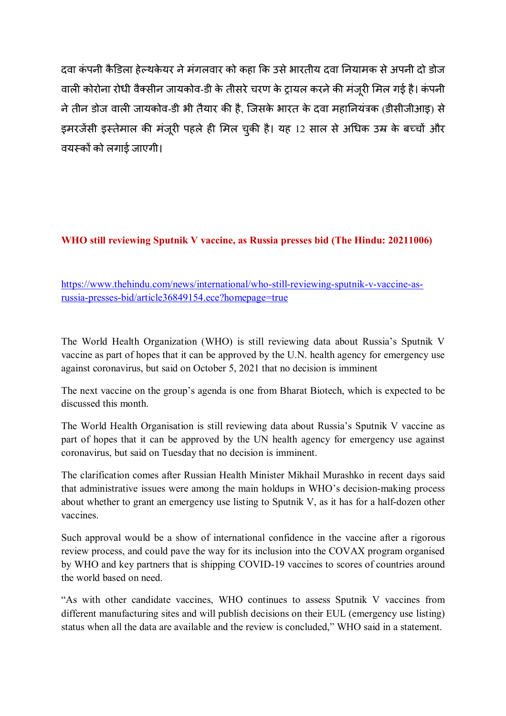दवा कंपनी कैडिला हेल्थकेयर ने मंगलवार को कहा कि उसे भारतीय दवा नियामक से अपनी दो डोज वाली कोरोना रोधी वैक्सीन जायकोव-डी के तीसरे चरण के ट्रायल करने की मंजरी मिल गई है। कंपनी ने तीन डोज वाली जायकोव-डी भी तैयार की है, जिसके भारत के दवा महानियंत्रक (डीसीजीआइ) से इमरजेंसी इस्तेमाल की मंजूरी पहले ही मिल चुकी है। यह 12 साल से अधिक उम्र के बच्चों और वयस्कों को लगाई जाएगी।

#### **WHO still reviewing Sputnik V vaccine, as Russia presses bid (The Hindu: 20211006)**

https://www.thehindu.com/news/international/who-still-reviewing-sputnik-v-vaccine-asrussia-presses-bid/article36849154.ece?homepage=true

The World Health Organization (WHO) is still reviewing data about Russia's Sputnik V vaccine as part of hopes that it can be approved by the U.N. health agency for emergency use against coronavirus, but said on October 5, 2021 that no decision is imminent

The next vaccine on the group's agenda is one from Bharat Biotech, which is expected to be discussed this month.

The World Health Organisation is still reviewing data about Russia's Sputnik V vaccine as part of hopes that it can be approved by the UN health agency for emergency use against coronavirus, but said on Tuesday that no decision is imminent.

The clarification comes after Russian Health Minister Mikhail Murashko in recent days said that administrative issues were among the main holdups in WHO's decision-making process about whether to grant an emergency use listing to Sputnik V, as it has for a half-dozen other vaccines.

Such approval would be a show of international confidence in the vaccine after a rigorous review process, and could pave the way for its inclusion into the COVAX program organised by WHO and key partners that is shipping COVID-19 vaccines to scores of countries around the world based on need.

"As with other candidate vaccines, WHO continues to assess Sputnik V vaccines from different manufacturing sites and will publish decisions on their EUL (emergency use listing) status when all the data are available and the review is concluded," WHO said in a statement.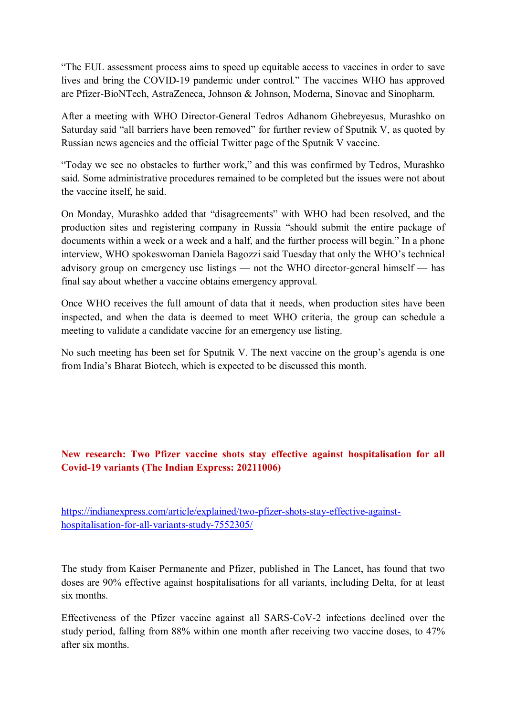"The EUL assessment process aims to speed up equitable access to vaccines in order to save lives and bring the COVID-19 pandemic under control." The vaccines WHO has approved are Pfizer-BioNTech, AstraZeneca, Johnson & Johnson, Moderna, Sinovac and Sinopharm.

After a meeting with WHO Director-General Tedros Adhanom Ghebreyesus, Murashko on Saturday said "all barriers have been removed" for further review of Sputnik V, as quoted by Russian news agencies and the official Twitter page of the Sputnik V vaccine.

"Today we see no obstacles to further work," and this was confirmed by Tedros, Murashko said. Some administrative procedures remained to be completed but the issues were not about the vaccine itself, he said.

On Monday, Murashko added that "disagreements" with WHO had been resolved, and the production sites and registering company in Russia "should submit the entire package of documents within a week or a week and a half, and the further process will begin." In a phone interview, WHO spokeswoman Daniela Bagozzi said Tuesday that only the WHO's technical advisory group on emergency use listings — not the WHO director-general himself — has final say about whether a vaccine obtains emergency approval.

Once WHO receives the full amount of data that it needs, when production sites have been inspected, and when the data is deemed to meet WHO criteria, the group can schedule a meeting to validate a candidate vaccine for an emergency use listing.

No such meeting has been set for Sputnik V. The next vaccine on the group's agenda is one from India's Bharat Biotech, which is expected to be discussed this month.

#### **New research: Two Pfizer vaccine shots stay effective against hospitalisation for all Covid-19 variants (The Indian Express: 20211006)**

https://indianexpress.com/article/explained/two-pfizer-shots-stay-effective-againsthospitalisation-for-all-variants-study-7552305/

The study from Kaiser Permanente and Pfizer, published in The Lancet, has found that two doses are 90% effective against hospitalisations for all variants, including Delta, for at least six months

Effectiveness of the Pfizer vaccine against all SARS-CoV-2 infections declined over the study period, falling from 88% within one month after receiving two vaccine doses, to 47% after six months.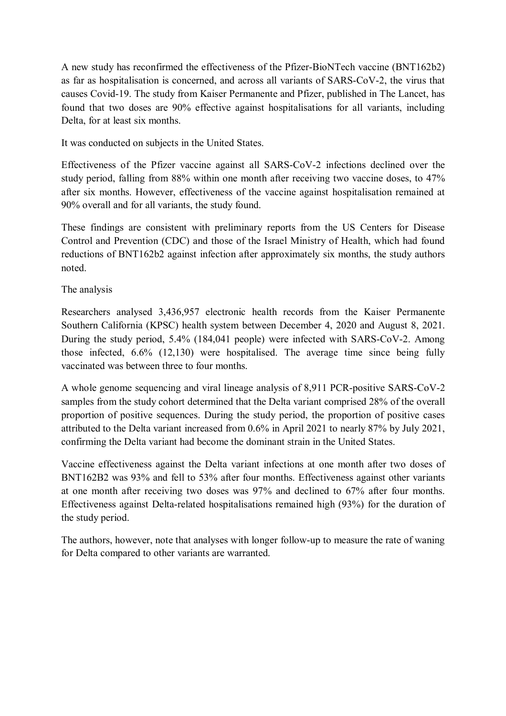A new study has reconfirmed the effectiveness of the Pfizer-BioNTech vaccine (BNT162b2) as far as hospitalisation is concerned, and across all variants of SARS-CoV-2, the virus that causes Covid-19. The study from Kaiser Permanente and Pfizer, published in The Lancet, has found that two doses are 90% effective against hospitalisations for all variants, including Delta, for at least six months.

It was conducted on subjects in the United States.

Effectiveness of the Pfizer vaccine against all SARS-CoV-2 infections declined over the study period, falling from 88% within one month after receiving two vaccine doses, to 47% after six months. However, effectiveness of the vaccine against hospitalisation remained at 90% overall and for all variants, the study found.

These findings are consistent with preliminary reports from the US Centers for Disease Control and Prevention (CDC) and those of the Israel Ministry of Health, which had found reductions of BNT162b2 against infection after approximately six months, the study authors noted.

#### The analysis

Researchers analysed 3,436,957 electronic health records from the Kaiser Permanente Southern California (KPSC) health system between December 4, 2020 and August 8, 2021. During the study period, 5.4% (184,041 people) were infected with SARS-CoV-2. Among those infected, 6.6% (12,130) were hospitalised. The average time since being fully vaccinated was between three to four months.

A whole genome sequencing and viral lineage analysis of 8,911 PCR-positive SARS-CoV-2 samples from the study cohort determined that the Delta variant comprised 28% of the overall proportion of positive sequences. During the study period, the proportion of positive cases attributed to the Delta variant increased from 0.6% in April 2021 to nearly 87% by July 2021, confirming the Delta variant had become the dominant strain in the United States.

Vaccine effectiveness against the Delta variant infections at one month after two doses of BNT162B2 was 93% and fell to 53% after four months. Effectiveness against other variants at one month after receiving two doses was 97% and declined to 67% after four months. Effectiveness against Delta-related hospitalisations remained high (93%) for the duration of the study period.

The authors, however, note that analyses with longer follow-up to measure the rate of waning for Delta compared to other variants are warranted.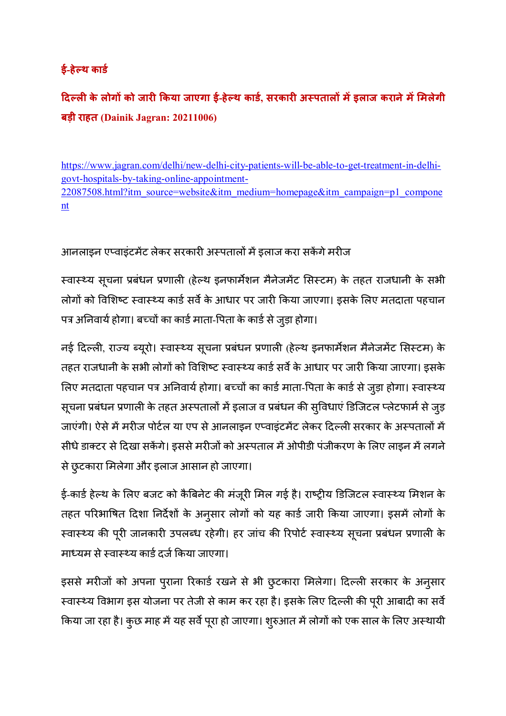## $\frac{1}{2}$ -हेल्थ कार्ड

 $\int_0^{\pi} 1$  दिल्ली के लोगों को जारी किया जाएगा ई-हेल्थ कार्ड, सरकारी अस्पतालों में इलाज कराने में मिलेगी **बड़ी राहत (Dainik Jagran: 20211006)** 

https://www.jagran.com/delhi/new-delhi-city-patients-will-be-able-to-get-treatment-in-delhigovt-hospitals-by-taking-online-appointment-22087508.html?itm\_source=website&itm\_medium=homepage&itm\_campaign=p1\_compone nt

आनलाइन एप्वाइंटमेंट लेकर सरकारी अस्पतालों में इलाज करा सकेंगे मरीज

स्वास्थ्य सूचना प्रबंधन प्रणाली (हेल्थ इनफार्मेशन मैनेजमेंट सिस्टम) के तहत राजधानी के सभी लोगों को विशिष्ट स्वास्थ्य कार्ड सर्वे के आधार पर जारी किया जाएगा। इसके लिए मतदाता पहचान पत्र अनिवार्य होगा। बच्चों का कार्ड माता-पिता के कार्ड से जुड़ा होगा।

नई दिल्ली, राज्य ब्यूरो। स्वास्थ्य सूचना प्रबंधन प्रणाली (हेल्थ इनफार्मेशन मैनेजमेंट सिस्टम) के तहत राजधानी के सभी लोगों को विशिष्ट स्वास्थ्य कार्ड सर्वे के आधार पर जारी किया जाएगा। इसके लिए मतदाता पहचान पत्र अनिवार्य होगा। बच्चों का कार्ड माता-पिता के कार्ड से जुड़ा होगा। स्वास्थ्य सूचना प्रबंधन प्रणाली के तहत अस्पतालों में इलाज व प्रबंधन की सुविधाएं डिजिटल प्लेटफार्म से जुड़ जाएंगी। ऐसे में मरीज पोर्टल या एप से आनलाइन एप्वाइंटमेंट लेकर दिल्ली सरकार के अस्पतालों में सीधे डाक्टर से दिखा सकेंगे। इससे मरीजों को अस्पताल में ओपीडी पंजीकरण के लिए लाइन में लगने से छुटकारा मिलेगा और इलाज आसान हो जाएगा।

ई-कार्ड हेल्थ के लिए बजट को कैबिनेट की मंजूरी मिल गई है। राष्ट्रीय डिजिटल स्वास्थ्य मिशन के तहत परिभाषित दिशा निर्देशों के अनुसार लोगों को यह कार्ड जारी किया जाएगा। इसमें लोगों के स्वास्थ्य की पूरी जानकारी उपलब्ध रहेगी। हर जांच की रिपोर्ट स्वास्थ्य सूचना प्रबंधन प्रणाली के माध्यम से स्वास्थ्य कार्ड दर्ज किया जाएगा।

इससे मरीजों को अपना पुराना रिकार्ड रखने से भी छुटकारा मिलेगा। दिल्ली सरकार के अनुसार स्वास्थ्य विभाग इस योजना पर तेजी से काम कर रहा है। इसके लिए दिल्ली की पूरी आबादी का सर्वे किया जा रहा है। कुछ माह में यह सर्वे पूरा हो जाएगा। शुरुआत में लोगों को एक साल के लिए अस्थायी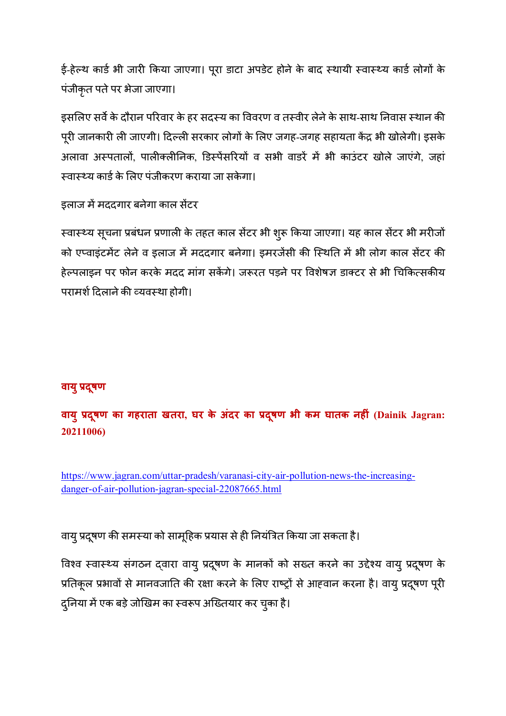ई-हेल्थ कार्ड भी जारी किया जाएगा। पूरा डाटा अपडेट होने के बाद स्थायी स्वास्थ्य कार्ड लोगों के पंजीकृत पतेपर भेजा जाएगा।

इसलिए सर्वे के दौरान परिवार के हर सदस्य का विवरण व तस्वीर लेने के साथ-साथ निवास स्थान की पूरी जानकारी ली जाएगी। दिल्ली सरकार लोगों के लिए जगह-जगह सहायता केंद्र भी खोलेगी। इसके अलावा अस्पतालों, पालीक्लीनिक, डिस्पेंसरियों व सभी वाडरें में भी काउंटर खोले जाएंगे, जहां स्वास्थ्य कार्ड के लिए पंजीकरण कराया जा सकेगा।

इलाज में मददगार बनेगा काल सेंटर

स्वास्थ्य सूचना प्रबंधन प्रणाली के तहत काल सेंटर भी शुरू किया जाएगा। यह काल सेंटर भी मरीजों को एप्वाइंटमेंट लेने व इलाज में मददगार बनेगा। इमरजेंसी की स्थिति में भी लोग काल सेंटर की हेल्पलाइन पर फोन करके मदद मांग सकेंगे। जरूरत पड़ने पर विशेषज्ञ डाक्टर से भी चिकित्सकीय परामर्श दिलाने की व्यवस्था होगी।

## **वायु&दषणू**

**वायु&दषणू का गहराता खतरा, घर के अंदर का &दषणू भी कम घातक नह\*ं (Dainik Jagran: 20211006)** 

https://www.jagran.com/uttar-pradesh/varanasi-city-air-pollution-news-the-increasingdanger-of-air-pollution-jagran-special-22087665.html

वायु प्रदूषण की समस्या को सामूहिक प्रयास से ही नियंत्रित किया जा सकता है।

विश्व स्वास्थ्य संगठन दवारा वायु प्रदुषण के मानकों को सख्त करने का उद्देश्य वायु प्रदुषण के प्रतिकूल प्रभावों से मानवजाति की रक्षा करने के लिए राष्ट्रों से आहवान करना है। वायु प्रदूषण पूरी दुनिया में एक बड़े जोखिम का स्वरूप अख्तियार कर चुका है।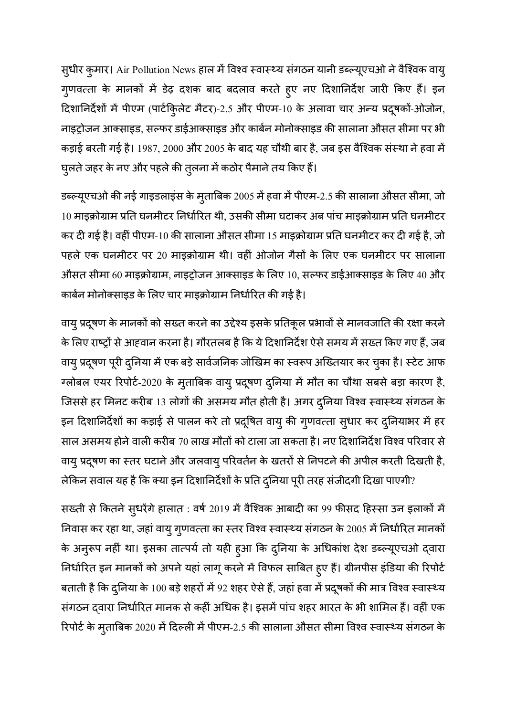सुधीर कुमार। Air Pollution News हाल में विश्व स्वास्थ्य संगठन यानी डब्ल्यूएचओ ने वैश्विक वायु गुणवत्ता के मानकों में डेढ़ दशक बाद बदलाव करते हुए नए दिशानिर्देश जारी किए हैं। इन दिशानिर्देशों में पीएम (पार्टकि्लेट मैटर)-2.5 और पीएम-10 के अलावा चार अन्य प्रदूषकों-ओजोन, नाइट्रोजन आक्साइड, सल्फर डाईआक्साइड और कार्बन मोनोक्साइड की सालाना औसत सीमा पर भी कड़ाई बरती गई है। 1987, 2000 और 2005 के बाद यह चौथी बार है, जब इस वैश्विक संस्था ने हवा में घुलते जहर के नए और पहले की तुलना में कठोर पैमाने तय किए हैं।

डब्ल्यूएचओ की नई गाइडलाइंस के मुताबिक 2005 में हवा में पीएम-2.5 की सालाना औसत सीमा, जो 10 माइक्रोग्राम प्रति घनमीटर निर्धारित थी, उसकी सीमा घटाकर अब पांच माइक्रोग्राम प्रति घनमीटर कर दी गई है। वहीं पीएम-10 की सालाना औसत सीमा 15 माइक्रोग्राम प्रति घनमीटर कर दी गई है, जो पहले एक घनमीटर पर 20 माइक्रोग्राम थी। वहीं ओजोन गैसों के लिए एक घनमीटर पर सालाना औसत सीमा 60 माइक्रोग्राम, नाइट्रोजन आक्साइड के लिए 10, सल्फर डाईआक्साइड के लिए 40 और कार्बन मोनोक्साइड के लिए चार माइक्रोग्राम निर्धारित की गई है।

वायु प्रदूषण के मानकों को सख्त करने का उद्देश्य इसके प्रतिकूल प्रभावों से मानवजाति की रक्षा करने के लिए राष्ट्रों से आहवान करना है। गौरतलब है कि ये दिशानिर्देश ऐसे समय में सख्त किए गए हैं, जब वायु प्रदूषण पूरी दुनिया में एक बड़े सार्वजनिक जोखिम का स्वरूप अख्तियार कर चुका है। स्टेट आफ ग्लोबल एयर रिपोर्ट-2020 के मुताबिक वायु प्रदूषण दुनिया में मौत का चौथा सबसे बड़ा कारण है, जिससे हर मिनट करीब 13 लोगों की असमय मौत होती है। अगर दुनिया विश्व स्वास्थ्य संगठन के इन दिशानिर्देशों का कड़ाई से पालन करे तो प्रदूषित वायु की गुणवत्ता सुधार कर दुनियाभर में हर साल असमय होने वाली करीब 70 लाख मौतों को टाला जा सकता है। नए दिशानिर्देश विश्व परिवार से वायु प्रदूषण का स्तर घटाने और जलवायु परिवर्तन के खतरों से निपटने की अपील करती दिखती है, लेकिन सवाल यह है कि क्या इन दिशानिर्देशों के प्रति दुनिया पूरी तरह संजीदगी दिखा पाएगी?

सख्ती से कितने सुधरेंगे हालात : वर्ष 2019 में वैश्विक आबादी का 99 फीसद हिस्सा उन इलाकों में निवास कर रहा था, जहां वायु गुणवत्ता का स्तर विश्व स्वास्थ्य संगठन के 2005 में निर्धारित मानकों के अनुरूप नहीं था। इसका तात्पर्य तो यही हुआ कि दुनिया के अधिकांश देश डब्ल्यूएचओ द्वारा निर्धारित इन मानकों को अपने यहां लागू करने में विफल साबित हुए हैं। ग्रीनपीस इंडिया की रिपोर्ट बताती है कि दुनिया के 100 बड़े शहरों में 92 शहर ऐसे हैं, जहां हवा में प्रदूषकों की मात्र विश्व स्वास्थ्य संगठन दवारा निर्धारित मानक से कहीं अधिक है। इसमें पांच शहर भारत के भी शामिल हैं। वहीं एक रिपोर्ट के मुताबिक 2020 में दिल्ली में पीएम-2.5 की सालाना औसत सीमा विश्व स्वास्थ्य संगठन के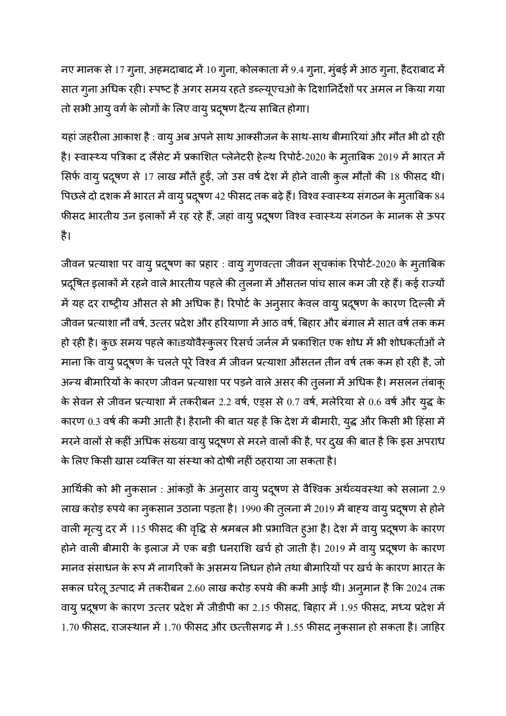नए मानक से 17 गुना, अहमदाबाद में 10 गुना, कोलकाता में 9.4 गुना, मुंबई में आठ गुना, हैदराबाद में सात गुना अधिक रही। स्पष्ट है अगर समय रहते डब्ल्यूएचओ के दिशानिर्देशों पर अमल न किया गया तो सभी आयु वर्ग के लोगों के लिए वायु प्रदूषण दैत्य साबित होगा।

यहां जहरीला आकाश है : वायु अब अपने साथ आक्सीजन के साथ-साथ बीमारियां और मौत भी ढो रही है। स्वास्थ्य पत्रिका द लैंसेट में प्रकाशित प्लेनेटरी हेल्थ रिपोर्ट-2020 के मुताबिक 2019 में भारत में सिर्फ वायु प्रदूषण से 17 लाख मौतें हुईं, जो उस वर्ष देश में होने वाली कुल मौतों की 18 फीसद थी। पिछले दो दशक में भारत में वायु प्रदूषण 42 फीसद तक बढ़े हैं। विश्व स्वास्थ्य संगठन के मुताबिक 84 फीसद भारतीय उन इलाकों में रह रहे हैं, जहां वायु प्रदूषण विश्व स्वास्थ्य संगठन के मानक से ऊपर है।

जीवन प्रत्याशा पर वायु प्रदूषण का प्रहार : वायु गुणवत्ता जीवन सूचकांक रिपोर्ट-2020 के मुताबिक प्रदूषित इलाकों में रहने वाले भारतीय पहले की तुलना में औसतन पांच साल कम जी रहे हैं। कई राज्यों में यह दर राष्ट्रीय औसत से भी अधिक है। रिपोर्ट के अनुसार केवल वायु प्रदूषण के कारण दिल्ली में जीवन प्रत्याशा नौ वर्ष, उत्तर प्रदेश और हरियाणा में आठ वर्ष, बिहार और बंगाल में सात वर्ष तक कम हो रही है। कुछ समय पहले काíडयोवैस्कुलर रिसर्च जर्नल में प्रकाशित एक शोध में भी शोधकर्ताओं ने माना कि वायु प्रदूषण के चलते पूरे विश्व में जीवन प्रत्याशा औसतन तीन वर्ष तक कम हो रही है, जो अन्य बीमारियों के कारण जीवन प्रत्याशा पर पड़ने वाले असर की तुलना में अधिक है। मसलन तंबाकू के सेवन से जीवन प्रत्याशा में तकरीबन 2.2 वर्ष, एड्स से 0.7 वर्ष, मलेरिया से 0.6 वर्ष और युद्ध के कारण 0.3 वर्ष की कमी आती है। हैरानी की बात यह है कि देश में बीमारी, युद्ध और किसी भी हिंसा में मरने वालों से कहीं अधिक संख्या वायु प्रदूषण से मरने वालों की है, पर दुख की बात है कि इस अपराध के लिए किसी खास व्यक्ति या संस्था को दोषी नहीं ठहराया जा सकता है।

आर्थिकी को भी नुकसान : आंकड़ों के अनुसार वायु प्रदूषण से वैश्विक अर्थव्यवस्था को सलाना 2.9 लाख करोड़ रुपये का नुकसान उठाना पड़ता है। 1990 की तुलना में 2019 में बाह्य वायु प्रदूषण से होने वाली मृत्यु दर में 115 फीसद की वृद्धि से श्रमबल भी प्रभावित हुआ है। देश में वायु प्रदूषण के कारण होने वाली बीमारी के इलाज में एक बड़ी धनराशि खर्च हो जाती है। 2019 में वायु प्रदूषण के कारण मानव संसाधन के रूप में नागरिकों के असमय निधन होने तथा बीमारियों पर खर्च के कारण भारत के सकल घरेलू उत्पाद में तकरीबन 2.60 लाख करोड़ रुपये की कमी आई थी। अनुमान है कि 2024 तक वायु प्रदूषण के कारण उत्तर प्रदेश में जीडीपी का 2.15 फीसद, बिहार में 1.95 फीसद, मध्य प्रदेश में 1.70 फीसद, राजस्थान में 1.70 फीसद और छत्तीसगढ़ में 1.55 फीसद नुकसान हो सकता है। जाहिर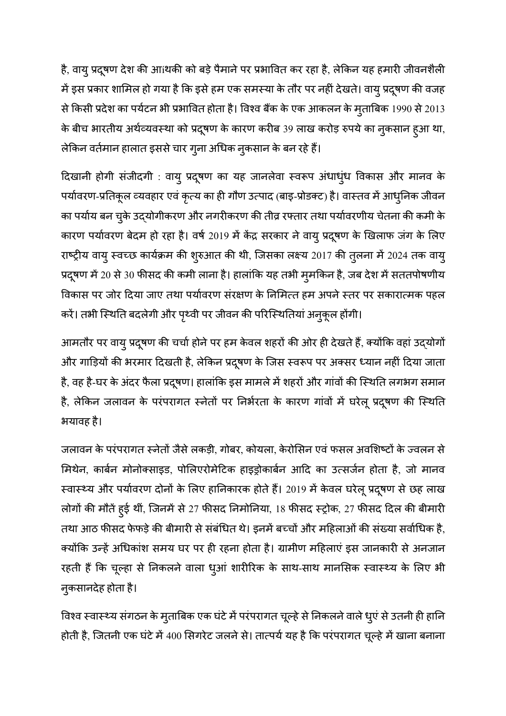है, वायु प्रदूषण देश की आíथकी को बड़े पैमाने पर प्रभावित कर रहा है, लेकिन यह हमारी जीवनशैली में इस प्रकार शामिल हो गया है कि इसे हम एक समस्या के तौर पर नहीं देखते। वायु प्रदूषण की वजह से किसी प्रदेश का पर्यटन भी प्रभावित होता है। विश्व बैंक के एक आकलन के मुताबिक 1990 से 2013 के बीच भारतीय अर्थव्यवस्था को प्रदूषण के कारण करीब 39 लाख करोड़ रुपये का नुकसान हुआ था, लेकिन वर्तमान हालात इससे चार गुना अधिक नुकसान के बन रहे हैं।

दिखानी होगी संजीदगी : वायु प्रदूषण का यह जानलेवा स्वरूप अंधाधुंध विकास और मानव के पर्यावरण-प्रतिकूल व्यवहार एवं कृत्य का ही गौण उत्पाद (बाइ-प्रोडक्ट) है। वास्तव में आधुनिक जीवन का पर्याय बन चुके उद्योगीकरण और नगरीकरण की तीव्र रफ्तार तथा पर्यावरणीय चेतना की कमी के कारण पर्यावरण बेदम हो रहा है। वर्ष 2019 में केंद्र सरकार ने वायु प्रदूषण के खिलाफ जंग के लिए राष्ट्रीय वायु स्वच्छ कार्यक्रम की शुरुआत की थी, जिसका लक्ष्य 2017 की तुलना में 2024 तक वायु प्रदूषण में 20 से 30 फीसद की कमी लाना है। हालांकि यह तभी मुमकिन है, जब देश में सततपोषणीय विकास पर जोर दिया जाए तथा पर्यावरण संरक्षण के निमित्त हम अपने स्तर पर सकारात्मक पहल करें। तभी स्थिति बदलेगी और पृथ्वी पर जीवन की परिस्थितियां अनुकूल होंगी।

आमतौर पर वायु प्रदूषण की चर्चा होने पर हम केवल शहरों की ओर ही देखते हैं, क्योंकि वहां उद्योगों और गाड़ियों की भरमार दिखती है, लेकिन प्रदूषण के जिस स्वरूप पर अक्सर ध्यान नहीं दिया जाता है, वह है-घर के अंदर फैला प्रदूषण। हालांकि इस मामले में शहरों और गांवों की स्थिति लगभग समान है, लेकिन जलावन के परंपरागत स्नेतों पर निर्भरता के कारण गांवों में घरेलू प्रदूषण की स्थिति भयावह है।

जलावन के परंपरागत स्नेतों जैसे लकड़ी, गोबर, कोयला, केरोसिन एवं फसल अवशिष्टों के ज्वलन से मिथेन, कार्बन मोनोक्साइड, पोलिएरोमेटिक हाइड्रोकार्बन आदि का उत्सर्जन होता है, जो मानव स्वास्थ्य और पर्यावरण दोनों के लिए हानिकारक होते हैं। 2019 में केवल घरेलू प्रदूषण से छह लाख लोगों की मौतें हुई थीं, जिनमें से 27 फीसद निमोनिया, 18 फीसद स्ट्रोक, 27 फीसद दिल की बीमारी तथा आठ फीसद फेफड़े की बीमारी से संबंधित थे। इनमें बच्चों और महिलाओं की संख्या सर्वाधिक है, क्योंकि उन्हें अधिकांश समय घर पर ही रहना होता है। ग्रामीण महिलाएं इस जानकारी से अनजान रहती हैं कि चूल्हा से निकलने वाला धुआं शारीरिक के साथ-साथ मानसिक स्वास्थ्य के लिए भी नुकसानदेह होता है।

विश्व स्वास्थ्य संगठन के मुताबिक एक घंटे में परंपरागत चूल्हे से निकलने वाले धुएं से उतनी ही हानि होती है, जितनी एक घंटे में 400 सिगरेट जलने से। तात्पर्य यह है कि परंपरागत चूल्हे में खाना बनाना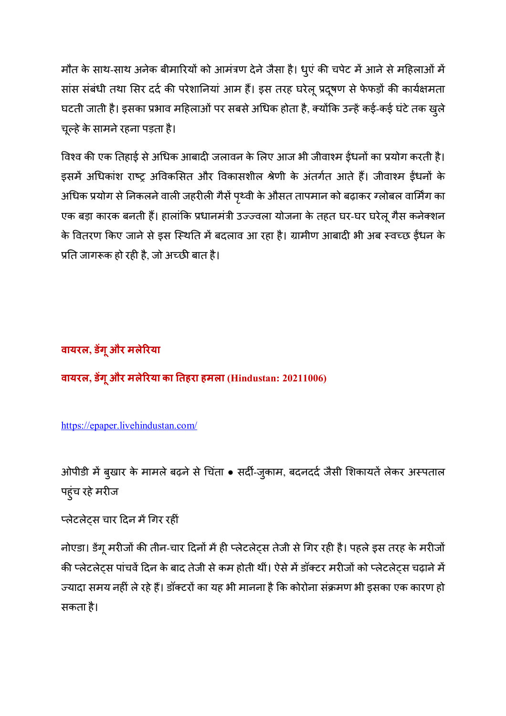मौत के साथ-साथ अनेक बीमारियों को आमंत्रण देने जैसा है। धूएं की चपेट में आने से महिलाओं में सांस संबंधी तथा सिर दर्द की परेशानियां आम हैं। इस तरह घरेलू प्रदूषण से फेफड़ों की कार्यक्षमता घटती जाती है। इसका प्रभाव महिलाओं पर सबसे अधिक होता है, क्योंकि उन्हें कई-कई घंटे तक खुले चूल्हे के सामने रहना पड़ता है।

विश्व की एक तिहाई से अधिक आबादी जलावन के लिए आज भी जीवाश्म ईंधनों का प्रयोग करती है। इसमें अधिकांश राष्ट्र अविकसित और विकासशील श्रेणी के अंतर्गत आते हैं। जीवाश्म ईधनों के अधिक प्रयोग से निकलने वाली जहरीली गैसें पृथ्वी के औसत तापमान को बढ़ाकर ग्लोबल वार्मिंग का एक बड़ा कारक बनती हैं। हालांकि प्रधानमंत्री उज्ज्वला योजना के तहत घर-घर घरेलू गैस कनेक्शन के वितरण किए जाने से इस स्थिति में बदलाव आ रहा है। ग्रामीण आबादी भी अब स्वच्छ ईंधन के प्रति जागरूक हो रही है, जो अच्छी बात है।

## **वायरल, डगूऔर मले;रया**

**वायरल, डगूऔर मले;रया का #तहरा हमला (Hindustan: 20211006)** 

## https://epaper.livehindustan.com/

ओपीडी में बुखार के मामले बढ़ने से चिंता • सर्दी-जुकाम, बदनदर्द जैसी शिकायतें लेकर अस्पताल पहुंच रहे मरीज

## प्लेटलेटस चार दिन में गिर रहीं

नोएडा। डेंगू मरीजों की तीन-चार दिनों में ही प्लेटलेट्स तेजी से गिर रही है। पहले इस तरह के मरीजों की प्लेटलेट्स पांचवें दिन के बाद तेजी से कम होती थीं। ऐसे में डॉक्टर मरीजों को प्लेटलेट्स चढ़ाने में ज्यादा समय नहीं ले रहे हैं। डॉक्टरों का यह भी मानना है कि कोरोना संक्रमण भी इसका एक कारण हो सकता है।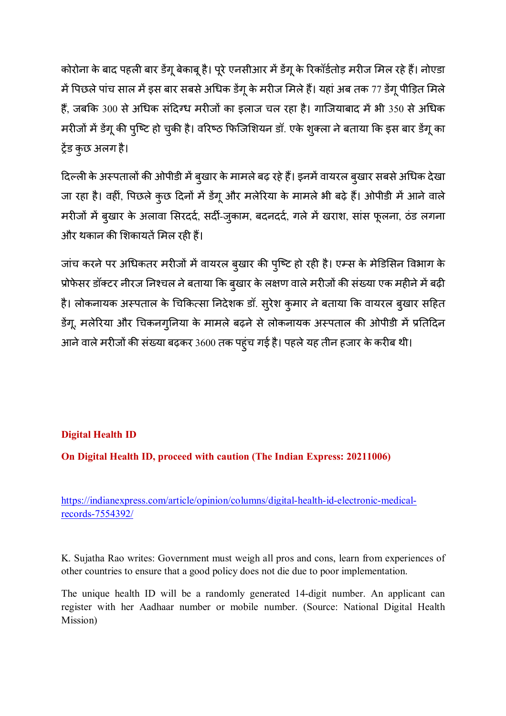कोरोना के बाद पहली बार डेंगू बेकाबू है। पूरे एनसीआर में डेंगू के रिकॉर्डतोड़ मरीज मिल रहे हैं। नोएडा में पिछले पांच साल में इस बार सबसे अधिक डेंगू के मरीज मिले हैं। यहां अब तक 77 डेंगू पीड़ित मिले हैं, जबकि 300 से अधिक संदिग्ध मरीजों का इलाज चल रहा है। गाजियाबाद में भी 350 से अधिक मरीजों में डेंगू की पुष्टि हो चुकी है। वरिष्ठ फिजिशियन डॉ. एके शुक्ला ने बताया कि इस बार डेंगू का ट्रेंड कुछ अलग है।

दिल्ली के अस्पतालों की ओपीडी में बुखार के मामले बढ़ रहे हैं। इनमें वायरल बुखार सबसे अधिक देखा जा रहा है। वहीं, पिछले कुछ दिनों में डेंगू और मलेरिया के मामले भी बढ़े हैं। ओपीडी में आने वाले मरीजों में बुखार के अलावा सिरदर्द, सर्दी-जुकाम, बदनदर्द, गले में खराश, सांस फूलना, ठंड लगना और थकान की शिकायतें मिल रही हैं।

जांच करने पर अधिकतर मरीजों में वायरल बुखार की पुष्टि हो रही है। एम्स के मेडिसिन विभाग के प्रोफेसर डॉक्टर नीरज निश्चल ने बताया कि बुखार के लक्षण वाले मरीजों की संख्या एक महीने में बढ़ी है। लोकनायक अस्पताल के चिकित्सा निदेशक डॉ. सुरेश कुमार ने बताया कि वायरल बुखार सहित डेंगू, मलेरिया और चिकनगुनिया के मामले बढ़ने से लोकनायक अस्पताल की ओपीडी में प्रतिदिन आने वाले मरीजों की संख्या बढ़कर 3600 तक पहुंच गई है। पहले यह तीन हजार के करीब थी।

## **Digital Health ID**

**On Digital Health ID, proceed with caution (The Indian Express: 20211006)** 

https://indianexpress.com/article/opinion/columns/digital-health-id-electronic-medicalrecords-7554392/

K. Sujatha Rao writes: Government must weigh all pros and cons, learn from experiences of other countries to ensure that a good policy does not die due to poor implementation.

The unique health ID will be a randomly generated 14-digit number. An applicant can register with her Aadhaar number or mobile number. (Source: National Digital Health Mission)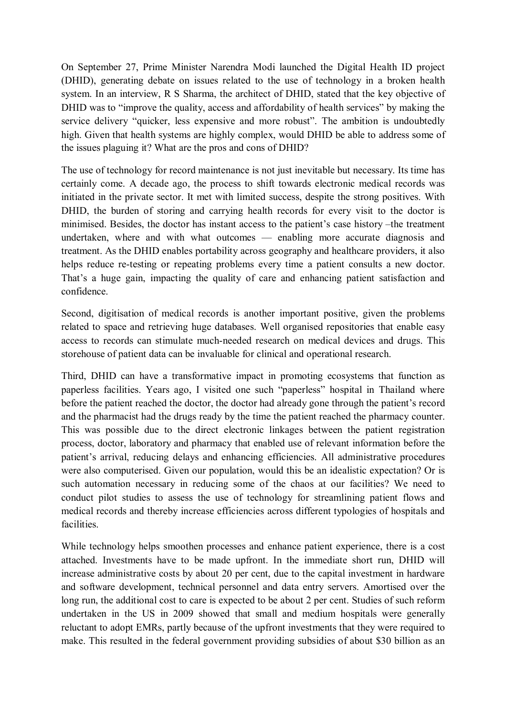On September 27, Prime Minister Narendra Modi launched the Digital Health ID project (DHID), generating debate on issues related to the use of technology in a broken health system. In an interview, R S Sharma, the architect of DHID, stated that the key objective of DHID was to "improve the quality, access and affordability of health services" by making the service delivery "quicker, less expensive and more robust". The ambition is undoubtedly high. Given that health systems are highly complex, would DHID be able to address some of the issues plaguing it? What are the pros and cons of DHID?

The use of technology for record maintenance is not just inevitable but necessary. Its time has certainly come. A decade ago, the process to shift towards electronic medical records was initiated in the private sector. It met with limited success, despite the strong positives. With DHID, the burden of storing and carrying health records for every visit to the doctor is minimised. Besides, the doctor has instant access to the patient's case history –the treatment undertaken, where and with what outcomes — enabling more accurate diagnosis and treatment. As the DHID enables portability across geography and healthcare providers, it also helps reduce re-testing or repeating problems every time a patient consults a new doctor. That's a huge gain, impacting the quality of care and enhancing patient satisfaction and confidence.

Second, digitisation of medical records is another important positive, given the problems related to space and retrieving huge databases. Well organised repositories that enable easy access to records can stimulate much-needed research on medical devices and drugs. This storehouse of patient data can be invaluable for clinical and operational research.

Third, DHID can have a transformative impact in promoting ecosystems that function as paperless facilities. Years ago, I visited one such "paperless" hospital in Thailand where before the patient reached the doctor, the doctor had already gone through the patient's record and the pharmacist had the drugs ready by the time the patient reached the pharmacy counter. This was possible due to the direct electronic linkages between the patient registration process, doctor, laboratory and pharmacy that enabled use of relevant information before the patient's arrival, reducing delays and enhancing efficiencies. All administrative procedures were also computerised. Given our population, would this be an idealistic expectation? Or is such automation necessary in reducing some of the chaos at our facilities? We need to conduct pilot studies to assess the use of technology for streamlining patient flows and medical records and thereby increase efficiencies across different typologies of hospitals and facilities.

While technology helps smoothen processes and enhance patient experience, there is a cost attached. Investments have to be made upfront. In the immediate short run, DHID will increase administrative costs by about 20 per cent, due to the capital investment in hardware and software development, technical personnel and data entry servers. Amortised over the long run, the additional cost to care is expected to be about 2 per cent. Studies of such reform undertaken in the US in 2009 showed that small and medium hospitals were generally reluctant to adopt EMRs, partly because of the upfront investments that they were required to make. This resulted in the federal government providing subsidies of about \$30 billion as an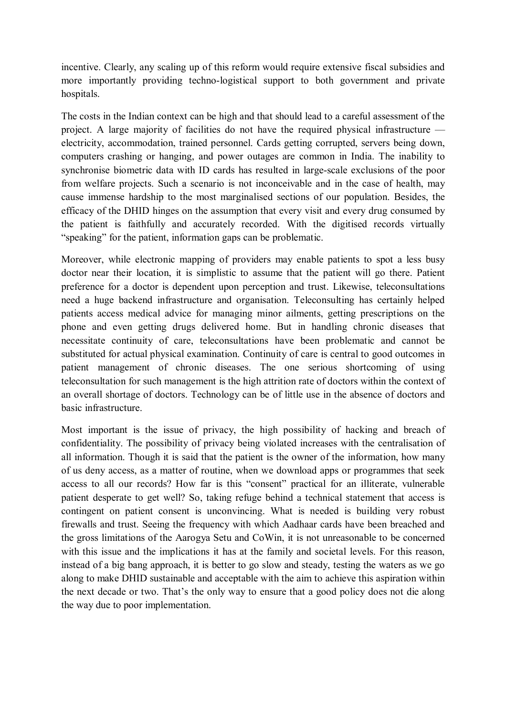incentive. Clearly, any scaling up of this reform would require extensive fiscal subsidies and more importantly providing techno-logistical support to both government and private hospitals.

The costs in the Indian context can be high and that should lead to a careful assessment of the project. A large majority of facilities do not have the required physical infrastructure electricity, accommodation, trained personnel. Cards getting corrupted, servers being down, computers crashing or hanging, and power outages are common in India. The inability to synchronise biometric data with ID cards has resulted in large-scale exclusions of the poor from welfare projects. Such a scenario is not inconceivable and in the case of health, may cause immense hardship to the most marginalised sections of our population. Besides, the efficacy of the DHID hinges on the assumption that every visit and every drug consumed by the patient is faithfully and accurately recorded. With the digitised records virtually "speaking" for the patient, information gaps can be problematic.

Moreover, while electronic mapping of providers may enable patients to spot a less busy doctor near their location, it is simplistic to assume that the patient will go there. Patient preference for a doctor is dependent upon perception and trust. Likewise, teleconsultations need a huge backend infrastructure and organisation. Teleconsulting has certainly helped patients access medical advice for managing minor ailments, getting prescriptions on the phone and even getting drugs delivered home. But in handling chronic diseases that necessitate continuity of care, teleconsultations have been problematic and cannot be substituted for actual physical examination. Continuity of care is central to good outcomes in patient management of chronic diseases. The one serious shortcoming of using teleconsultation for such management is the high attrition rate of doctors within the context of an overall shortage of doctors. Technology can be of little use in the absence of doctors and basic infrastructure.

Most important is the issue of privacy, the high possibility of hacking and breach of confidentiality. The possibility of privacy being violated increases with the centralisation of all information. Though it is said that the patient is the owner of the information, how many of us deny access, as a matter of routine, when we download apps or programmes that seek access to all our records? How far is this "consent" practical for an illiterate, vulnerable patient desperate to get well? So, taking refuge behind a technical statement that access is contingent on patient consent is unconvincing. What is needed is building very robust firewalls and trust. Seeing the frequency with which Aadhaar cards have been breached and the gross limitations of the Aarogya Setu and CoWin, it is not unreasonable to be concerned with this issue and the implications it has at the family and societal levels. For this reason, instead of a big bang approach, it is better to go slow and steady, testing the waters as we go along to make DHID sustainable and acceptable with the aim to achieve this aspiration within the next decade or two. That's the only way to ensure that a good policy does not die along the way due to poor implementation.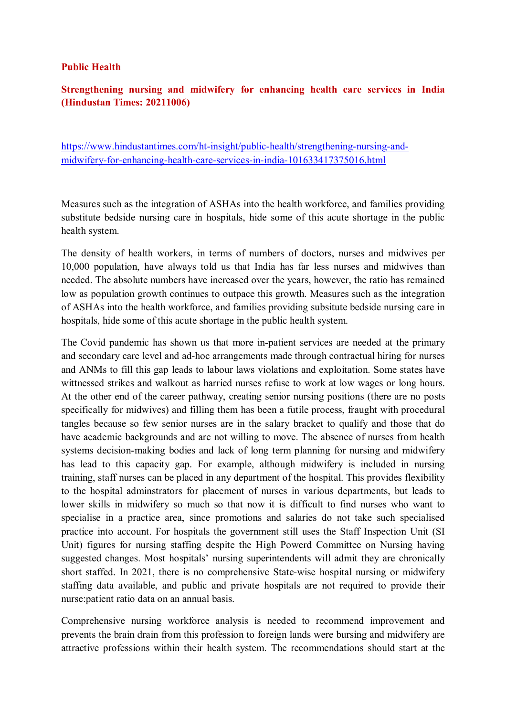#### **Public Health**

#### **Strengthening nursing and midwifery for enhancing health care services in India (Hindustan Times: 20211006)**

https://www.hindustantimes.com/ht-insight/public-health/strengthening-nursing-andmidwifery-for-enhancing-health-care-services-in-india-101633417375016.html

Measures such as the integration of ASHAs into the health workforce, and families providing substitute bedside nursing care in hospitals, hide some of this acute shortage in the public health system.

The density of health workers, in terms of numbers of doctors, nurses and midwives per 10,000 population, have always told us that India has far less nurses and midwives than needed. The absolute numbers have increased over the years, however, the ratio has remained low as population growth continues to outpace this growth. Measures such as the integration of ASHAs into the health workforce, and families providing subsitute bedside nursing care in hospitals, hide some of this acute shortage in the public health system.

The Covid pandemic has shown us that more in-patient services are needed at the primary and secondary care level and ad-hoc arrangements made through contractual hiring for nurses and ANMs to fill this gap leads to labour laws violations and exploitation. Some states have wittnessed strikes and walkout as harried nurses refuse to work at low wages or long hours. At the other end of the career pathway, creating senior nursing positions (there are no posts specifically for midwives) and filling them has been a futile process, fraught with procedural tangles because so few senior nurses are in the salary bracket to qualify and those that do have academic backgrounds and are not willing to move. The absence of nurses from health systems decision-making bodies and lack of long term planning for nursing and midwifery has lead to this capacity gap. For example, although midwifery is included in nursing training, staff nurses can be placed in any department of the hospital. This provides flexibility to the hospital adminstrators for placement of nurses in various departments, but leads to lower skills in midwifery so much so that now it is difficult to find nurses who want to specialise in a practice area, since promotions and salaries do not take such specialised practice into account. For hospitals the government still uses the Staff Inspection Unit (SI Unit) figures for nursing staffing despite the High Powerd Committee on Nursing having suggested changes. Most hospitals' nursing superintendents will admit they are chronically short staffed. In 2021, there is no comprehensive State-wise hospital nursing or midwifery staffing data available, and public and private hospitals are not required to provide their nurse:patient ratio data on an annual basis.

Comprehensive nursing workforce analysis is needed to recommend improvement and prevents the brain drain from this profession to foreign lands were bursing and midwifery are attractive professions within their health system. The recommendations should start at the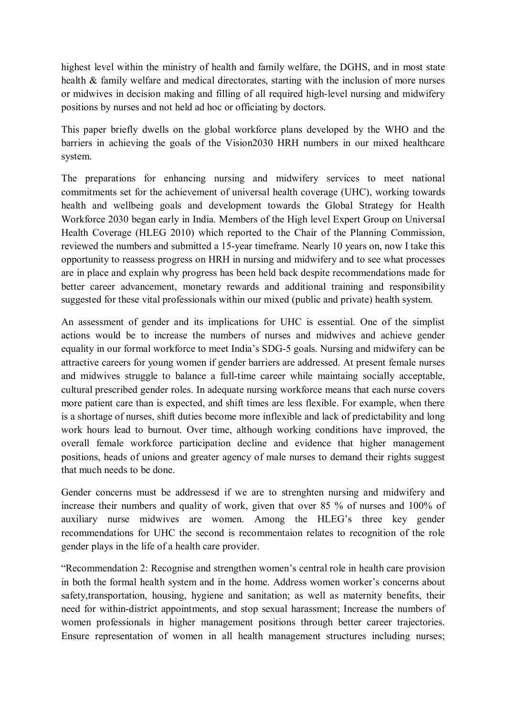highest level within the ministry of health and family welfare, the DGHS, and in most state health & family welfare and medical directorates, starting with the inclusion of more nurses or midwives in decision making and filling of all required high-level nursing and midwifery positions by nurses and not held ad hoc or officiating by doctors.

This paper briefly dwells on the global workforce plans developed by the WHO and the barriers in achieving the goals of the Vision2030 HRH numbers in our mixed healthcare system.

The preparations for enhancing nursing and midwifery services to meet national commitments set for the achievement of universal health coverage (UHC), working towards health and wellbeing goals and development towards the Global Strategy for Health Workforce 2030 began early in India. Members of the High level Expert Group on Universal Health Coverage (HLEG 2010) which reported to the Chair of the Planning Commission, reviewed the numbers and submitted a 15-year timeframe. Nearly 10 years on, now I take this opportunity to reassess progress on HRH in nursing and midwifery and to see what processes are in place and explain why progress has been held back despite recommendations made for better career advancement, monetary rewards and additional training and responsibility suggested for these vital professionals within our mixed (public and private) health system.

An assessment of gender and its implications for UHC is essential. One of the simplist actions would be to increase the numbers of nurses and midwives and achieve gender equality in our formal workforce to meet India's SDG-5 goals. Nursing and midwifery can be attractive careers for young women if gender barriers are addressed. At present female nurses and midwives struggle to balance a full-time career while maintaing socially acceptable, cultural prescribed gender roles. In adequate nursing workforce means that each nurse covers more patient care than is expected, and shift times are less flexible. For example, when there is a shortage of nurses, shift duties become more inflexible and lack of predictability and long work hours lead to burnout. Over time, although working conditions have improved, the overall female workforce participation decline and evidence that higher management positions, heads of unions and greater agency of male nurses to demand their rights suggest that much needs to be done.

Gender concerns must be addressesd if we are to strenghten nursing and midwifery and increase their numbers and quality of work, given that over 85 % of nurses and 100% of auxiliary nurse midwives are women. Among the HLEG's three key gender recommendations for UHC the second is recommentaion relates to recognition of the role gender plays in the life of a health care provider.

"Recommendation 2: Recognise and strengthen women's central role in health care provision in both the formal health system and in the home. Address women worker's concerns about safety,transportation, housing, hygiene and sanitation; as well as maternity benefits, their need for within-district appointments, and stop sexual harassment; Increase the numbers of women professionals in higher management positions through better career trajectories. Ensure representation of women in all health management structures including nurses;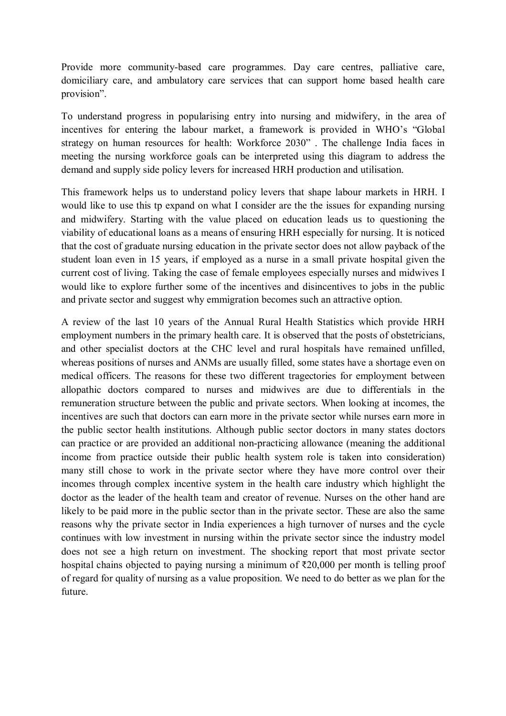Provide more community-based care programmes. Day care centres, palliative care, domiciliary care, and ambulatory care services that can support home based health care provision".

To understand progress in popularising entry into nursing and midwifery, in the area of incentives for entering the labour market, a framework is provided in WHO's "Global strategy on human resources for health: Workforce 2030" . The challenge India faces in meeting the nursing workforce goals can be interpreted using this diagram to address the demand and supply side policy levers for increased HRH production and utilisation.

This framework helps us to understand policy levers that shape labour markets in HRH. I would like to use this tp expand on what I consider are the the issues for expanding nursing and midwifery. Starting with the value placed on education leads us to questioning the viability of educational loans as a means of ensuring HRH especially for nursing. It is noticed that the cost of graduate nursing education in the private sector does not allow payback of the student loan even in 15 years, if employed as a nurse in a small private hospital given the current cost of living. Taking the case of female employees especially nurses and midwives I would like to explore further some of the incentives and disincentives to jobs in the public and private sector and suggest why emmigration becomes such an attractive option.

A review of the last 10 years of the Annual Rural Health Statistics which provide HRH employment numbers in the primary health care. It is observed that the posts of obstetricians, and other specialist doctors at the CHC level and rural hospitals have remained unfilled, whereas positions of nurses and ANMs are usually filled, some states have a shortage even on medical officers. The reasons for these two different tragectories for employment between allopathic doctors compared to nurses and midwives are due to differentials in the remuneration structure between the public and private sectors. When looking at incomes, the incentives are such that doctors can earn more in the private sector while nurses earn more in the public sector health institutions. Although public sector doctors in many states doctors can practice or are provided an additional non-practicing allowance (meaning the additional income from practice outside their public health system role is taken into consideration) many still chose to work in the private sector where they have more control over their incomes through complex incentive system in the health care industry which highlight the doctor as the leader of the health team and creator of revenue. Nurses on the other hand are likely to be paid more in the public sector than in the private sector. These are also the same reasons why the private sector in India experiences a high turnover of nurses and the cycle continues with low investment in nursing within the private sector since the industry model does not see a high return on investment. The shocking report that most private sector hospital chains objected to paying nursing a minimum of ₹20,000 per month is telling proof of regard for quality of nursing as a value proposition. We need to do better as we plan for the future.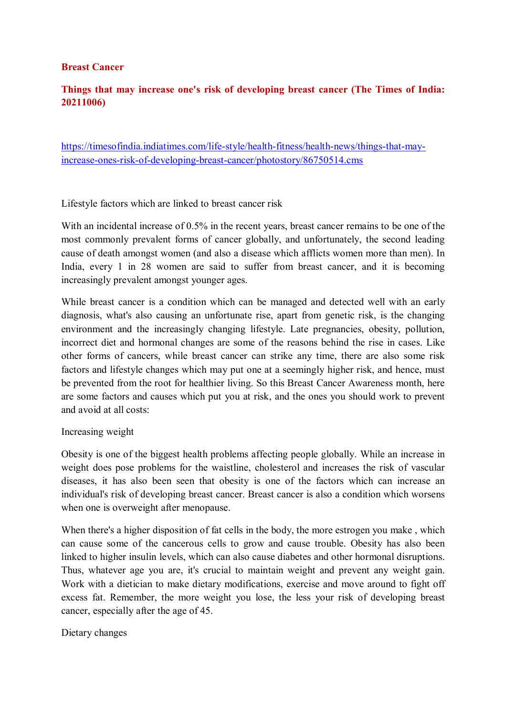#### **Breast Cancer**

#### **Things that may increase one's risk of developing breast cancer (The Times of India: 20211006)**

https://timesofindia.indiatimes.com/life-style/health-fitness/health-news/things-that-mayincrease-ones-risk-of-developing-breast-cancer/photostory/86750514.cms

Lifestyle factors which are linked to breast cancer risk

With an incidental increase of 0.5% in the recent years, breast cancer remains to be one of the most commonly prevalent forms of cancer globally, and unfortunately, the second leading cause of death amongst women (and also a disease which afflicts women more than men). In India, every 1 in 28 women are said to suffer from breast cancer, and it is becoming increasingly prevalent amongst younger ages.

While breast cancer is a condition which can be managed and detected well with an early diagnosis, what's also causing an unfortunate rise, apart from genetic risk, is the changing environment and the increasingly changing lifestyle. Late pregnancies, obesity, pollution, incorrect diet and hormonal changes are some of the reasons behind the rise in cases. Like other forms of cancers, while breast cancer can strike any time, there are also some risk factors and lifestyle changes which may put one at a seemingly higher risk, and hence, must be prevented from the root for healthier living. So this Breast Cancer Awareness month, here are some factors and causes which put you at risk, and the ones you should work to prevent and avoid at all costs:

#### Increasing weight

Obesity is one of the biggest health problems affecting people globally. While an increase in weight does pose problems for the waistline, cholesterol and increases the risk of vascular diseases, it has also been seen that obesity is one of the factors which can increase an individual's risk of developing breast cancer. Breast cancer is also a condition which worsens when one is overweight after menopause.

When there's a higher disposition of fat cells in the body, the more estrogen you make, which can cause some of the cancerous cells to grow and cause trouble. Obesity has also been linked to higher insulin levels, which can also cause diabetes and other hormonal disruptions. Thus, whatever age you are, it's crucial to maintain weight and prevent any weight gain. Work with a dietician to make dietary modifications, exercise and move around to fight off excess fat. Remember, the more weight you lose, the less your risk of developing breast cancer, especially after the age of 45.

Dietary changes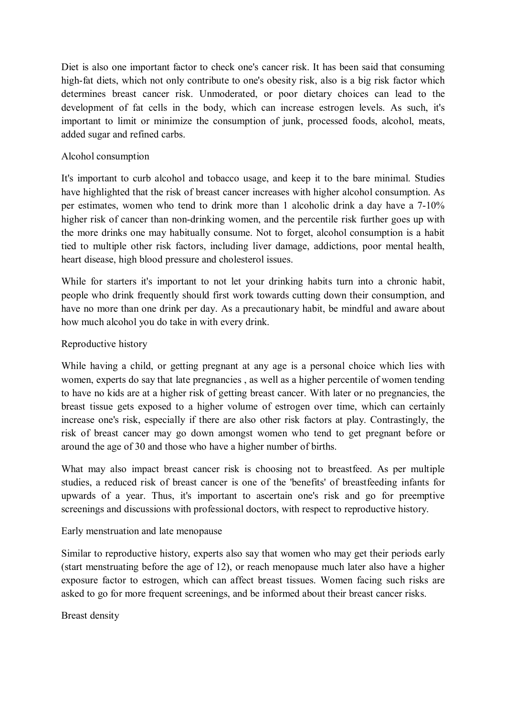Diet is also one important factor to check one's cancer risk. It has been said that consuming high-fat diets, which not only contribute to one's obesity risk, also is a big risk factor which determines breast cancer risk. Unmoderated, or poor dietary choices can lead to the development of fat cells in the body, which can increase estrogen levels. As such, it's important to limit or minimize the consumption of junk, processed foods, alcohol, meats, added sugar and refined carbs.

#### Alcohol consumption

It's important to curb alcohol and tobacco usage, and keep it to the bare minimal. Studies have highlighted that the risk of breast cancer increases with higher alcohol consumption. As per estimates, women who tend to drink more than 1 alcoholic drink a day have a 7-10% higher risk of cancer than non-drinking women, and the percentile risk further goes up with the more drinks one may habitually consume. Not to forget, alcohol consumption is a habit tied to multiple other risk factors, including liver damage, addictions, poor mental health, heart disease, high blood pressure and cholesterol issues.

While for starters it's important to not let your drinking habits turn into a chronic habit, people who drink frequently should first work towards cutting down their consumption, and have no more than one drink per day. As a precautionary habit, be mindful and aware about how much alcohol you do take in with every drink.

#### Reproductive history

While having a child, or getting pregnant at any age is a personal choice which lies with women, experts do say that late pregnancies , as well as a higher percentile of women tending to have no kids are at a higher risk of getting breast cancer. With later or no pregnancies, the breast tissue gets exposed to a higher volume of estrogen over time, which can certainly increase one's risk, especially if there are also other risk factors at play. Contrastingly, the risk of breast cancer may go down amongst women who tend to get pregnant before or around the age of 30 and those who have a higher number of births.

What may also impact breast cancer risk is choosing not to breastfeed. As per multiple studies, a reduced risk of breast cancer is one of the 'benefits' of breastfeeding infants for upwards of a year. Thus, it's important to ascertain one's risk and go for preemptive screenings and discussions with professional doctors, with respect to reproductive history.

#### Early menstruation and late menopause

Similar to reproductive history, experts also say that women who may get their periods early (start menstruating before the age of 12), or reach menopause much later also have a higher exposure factor to estrogen, which can affect breast tissues. Women facing such risks are asked to go for more frequent screenings, and be informed about their breast cancer risks.

Breast density